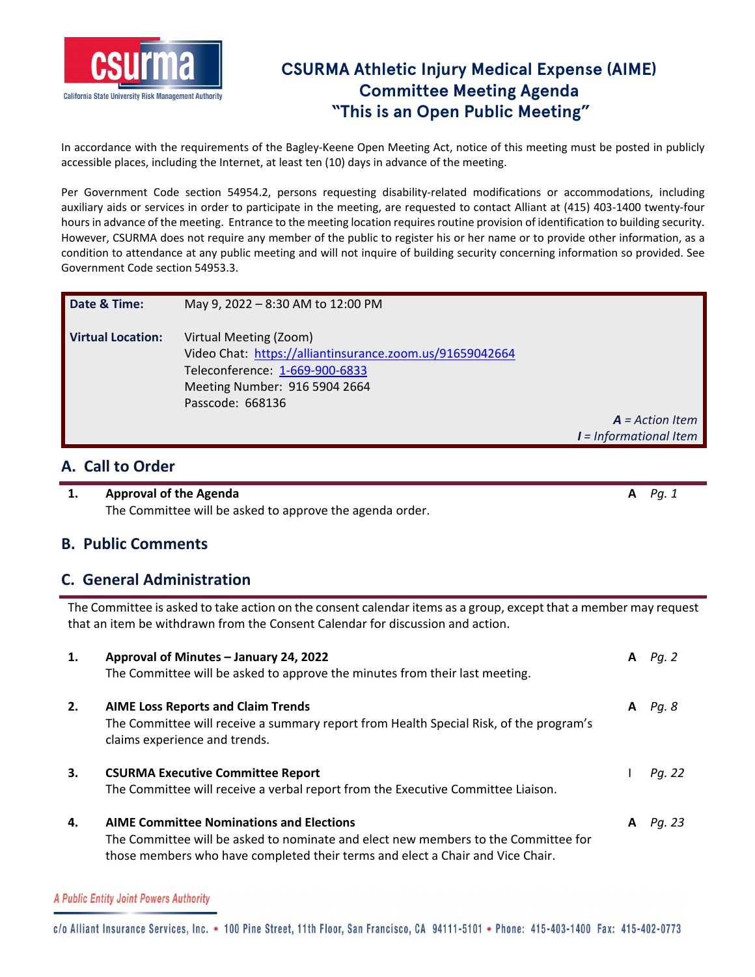

# **CSURMA Athletic Injury Medical Expense (AIME) Committee Meeting Agenda "This is an Open Public Meeting"**

In accordance with the requirements of the Bagley-Keene Open Meeting Act, notice of this meeting must be posted in publicly accessible places, including the Internet, at least ten (10) days in advance of the meeting.

Per Government Code section 54954.2, persons requesting disability-related modifications or accommodations, including auxiliary aids or services in order to participate in the meeting, are requested to contact Alliant at (415) 403‐1400 twenty‐four hours in advance of the meeting. Entrance to the meeting location requires routine provision of identification to building security. However, CSURMA does not require any member of the public to register his or her name or to provide other information, as a condition to attendance at any public meeting and will not inquire of building security concerning information so provided. See Government Code section 54953.3.

| Date & Time:             | May 9, 2022 - 8:30 AM to 12:00 PM                                                                                                                                         |                                               |
|--------------------------|---------------------------------------------------------------------------------------------------------------------------------------------------------------------------|-----------------------------------------------|
| <b>Virtual Location:</b> | Virtual Meeting (Zoom)<br>Video Chat: https://alliantinsurance.zoom.us/91659042664<br>Teleconference: 1-669-900-6833<br>Meeting Number: 916 5904 2664<br>Passcode: 668136 | $A = Action$ Item<br>$I = Informational$ Item |

### **A. Call to Order**

**1. Approval of the Agenda A** *Pg. 1* The Committee will be asked to approve the agenda order.

### **B. Public Comments**

### **C. General Administration**

The Committee is asked to take action on the consent calendar items as a group, except that a member may request that an item be withdrawn from the Consent Calendar for discussion and action.

| 1. | Approval of Minutes - January 24, 2022<br>The Committee will be asked to approve the minutes from their last meeting.                                                                                                   | A | Pg. 2  |
|----|-------------------------------------------------------------------------------------------------------------------------------------------------------------------------------------------------------------------------|---|--------|
| 2. | <b>AIME Loss Reports and Claim Trends</b><br>The Committee will receive a summary report from Health Special Risk, of the program's<br>claims experience and trends.                                                    | A | Pg. 8  |
| 3. | <b>CSURMA Executive Committee Report</b><br>The Committee will receive a verbal report from the Executive Committee Liaison.                                                                                            |   | Pg. 22 |
| 4. | <b>AIME Committee Nominations and Elections</b><br>The Committee will be asked to nominate and elect new members to the Committee for<br>those members who have completed their terms and elect a Chair and Vice Chair. | A | Pa. 23 |

A Public Entity Joint Powers Authority